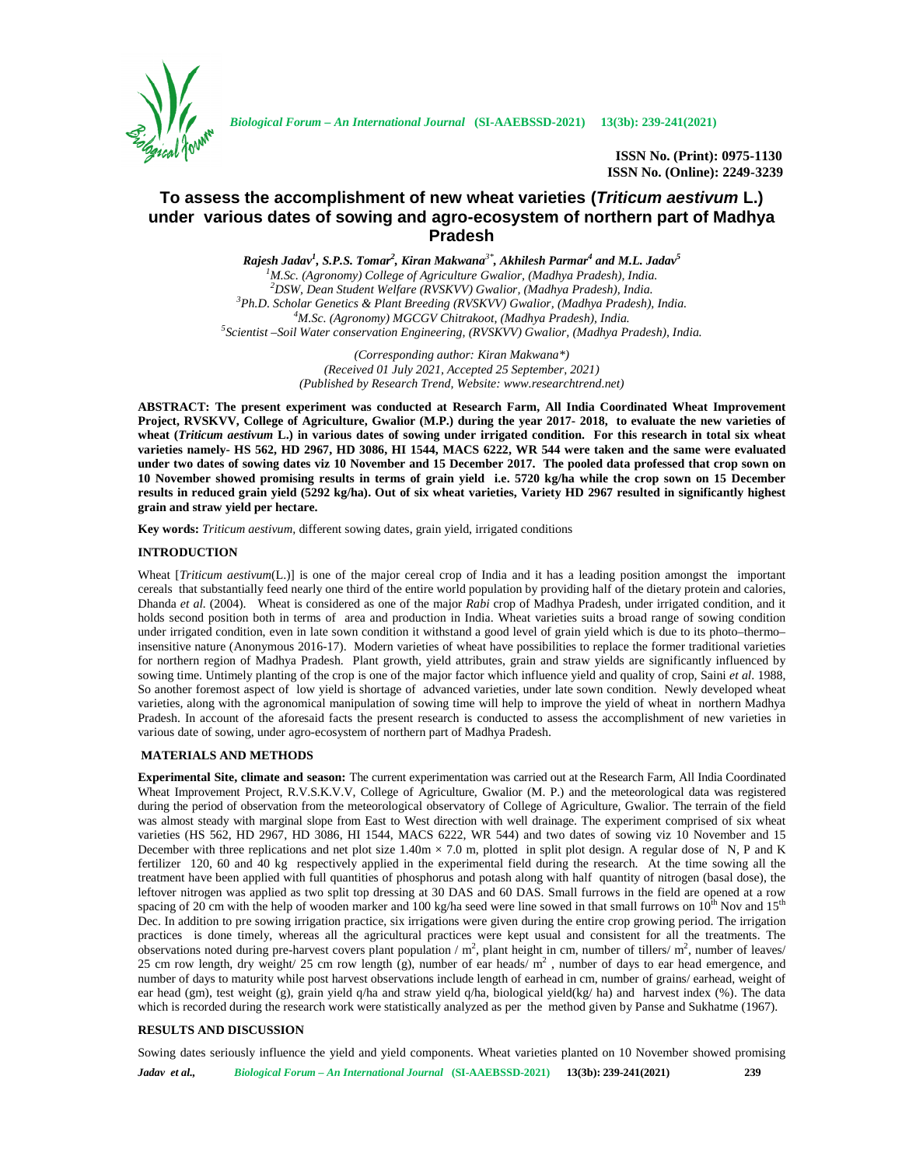

*Biological Forum – An International Journal* **(SI-AAEBSSD-2021) 13(3b): 239-241(2021)**

**ISSN No. (Print): 0975-1130 ISSN No. (Online): 2249-3239**

# **To assess the accomplishment of new wheat varieties (***Triticum aestivum* **L.) under various dates of sowing and agro-ecosystem of northern part of Madhya Pradesh**

*Rajesh Jadav<sup>1</sup> , S.P.S. Tomar<sup>2</sup> , Kiran Makwana3\*, Akhilesh Parmar<sup>4</sup> and M.L. Jadav<sup>5</sup>* <sup>1</sup>M.Sc. (Agronomy) College of Agriculture Gwalior, (Madhya Pradesh), India.<br><sup>2</sup>DSW, Dean Student Welfare (RVSKVV) Gwalior, (Madhya Pradesh), India.<br><sup>3</sup>Ph.D. Scholar Genetics & Plant Breeding (RVSKVV) Gwalior, (Madhya Pra

> *(Corresponding author: Kiran Makwana\*) (Received 01 July 2021, Accepted 25 September, 2021) (Published by Research Trend, Website: <www.researchtrend.net>)*

**ABSTRACT: The present experiment was conducted at Research Farm, All India Coordinated Wheat Improvement Project, RVSKVV, College of Agriculture, Gwalior (M.P.) during the year 2017- 2018, to evaluate the new varieties of wheat (***Triticum aestivum* **L.) in various dates of sowing under irrigated condition. For this research in total six wheat varieties namely- HS 562, HD 2967, HD 3086, HI 1544, MACS 6222, WR 544 were taken and the same were evaluated under two dates of sowing dates viz 10 November and 15 December 2017. The pooled data professed that crop sown on 10 November showed promising results in terms of grain yield i.e. 5720 kg/ha while the crop sown on 15 December results in reduced grain yield (5292 kg/ha). Out of six wheat varieties, Variety HD 2967 resulted in significantly highest grain and straw yield per hectare.**

**Key words:** *Triticum aestivum,* different sowing dates, grain yield, irrigated conditions

## **INTRODUCTION**

Wheat [*Triticum aestivum*(L.)] is one of the major cereal crop of India and it has a leading position amongst the important cereals that substantially feed nearly one third of the entire world population by providing half of the dietary protein and calories, Dhanda *et al.* (2004). Wheat is considered as one of the major *Rabi* crop of Madhya Pradesh, under irrigated condition, and it holds second position both in terms of area and production in India. Wheat varieties suits a broad range of sowing condition under irrigated condition, even in late sown condition it withstand a good level of grain yield which is due to its photo–thermo– insensitive nature (Anonymous 2016-17). Modern varieties of wheat have possibilities to replace the former traditional varieties for northern region of Madhya Pradesh. Plant growth, yield attributes, grain and straw yields are significantly influenced by sowing time. Untimely planting of the crop is one of the major factor which influence yield and quality of crop, Saini *et al*. 1988, So another foremost aspect of low yield is shortage of advanced varieties, under late sown condition. Newly developed wheat varieties, along with the agronomical manipulation of sowing time will help to improve the yield of wheat in northern Madhya Pradesh. In account of the aforesaid facts the present research is conducted to assess the accomplishment of new varieties in various date of sowing, under agro-ecosystem of northern part of Madhya Pradesh.

## **MATERIALS AND METHODS**

**Experimental Site, climate and season:** The current experimentation was carried out at the Research Farm, All India Coordinated Wheat Improvement Project, R.V.S.K.V.V, College of Agriculture, Gwalior (M. P.) and the meteorological data was registered during the period of observation from the meteorological observatory of College of Agriculture, Gwalior. The terrain of the field was almost steady with marginal slope from East to West direction with well drainage. The experiment comprised of six wheat varieties (HS 562, HD 2967, HD 3086, HI 1544, MACS 6222, WR 544) and two dates of sowing viz 10 November and 15 December with three replications and net plot size  $1.40m \times 7.0$  m, plotted in split plot design. A regular dose of N, P and K fertilizer 120, 60 and 40 kg respectively applied in the experimental field during the research. At the time sowing all the treatment have been applied with full quantities of phosphorus and potash along with half quantity of nitrogen (basal dose), the leftover nitrogen was applied as two split top dressing at 30 DAS and 60 DAS. Small furrows in the field are opened at a row spacing of 20 cm with the help of wooden marker and 100 kg/ha seed were line sowed in that small furrows on  $10^{th}$  Nov and  $15^{th}$ Dec. In addition to pre sowing irrigation practice, six irrigations were given during the entire crop growing period. The irrigation practices is done timely, whereas all the agricultural practices were kept usual and consistent for all the treatments. The observations noted during pre-harvest covers plant population  $/m^2$ , plant height in cm, number of tillers/ $m^2$ , number of leaves/ 25 cm row length, dry weight/ 25 cm row length (g), number of ear heads/ $\overline{m}^2$ , number of days to ear head emergence, and number of days to maturity while post harvest observations include length of earhead in cm, number of grains/ earhead, weight of ear head (gm), test weight (g), grain yield q/ha and straw yield q/ha, biological yield(kg/ ha) and harvest index (%). The data which is recorded during the research work were statistically analyzed as per the method given by Panse and Sukhatme (1967).

## **RESULTS AND DISCUSSION**

Sowing dates seriously influence the yield and yield components. Wheat varieties planted on 10 November showed promising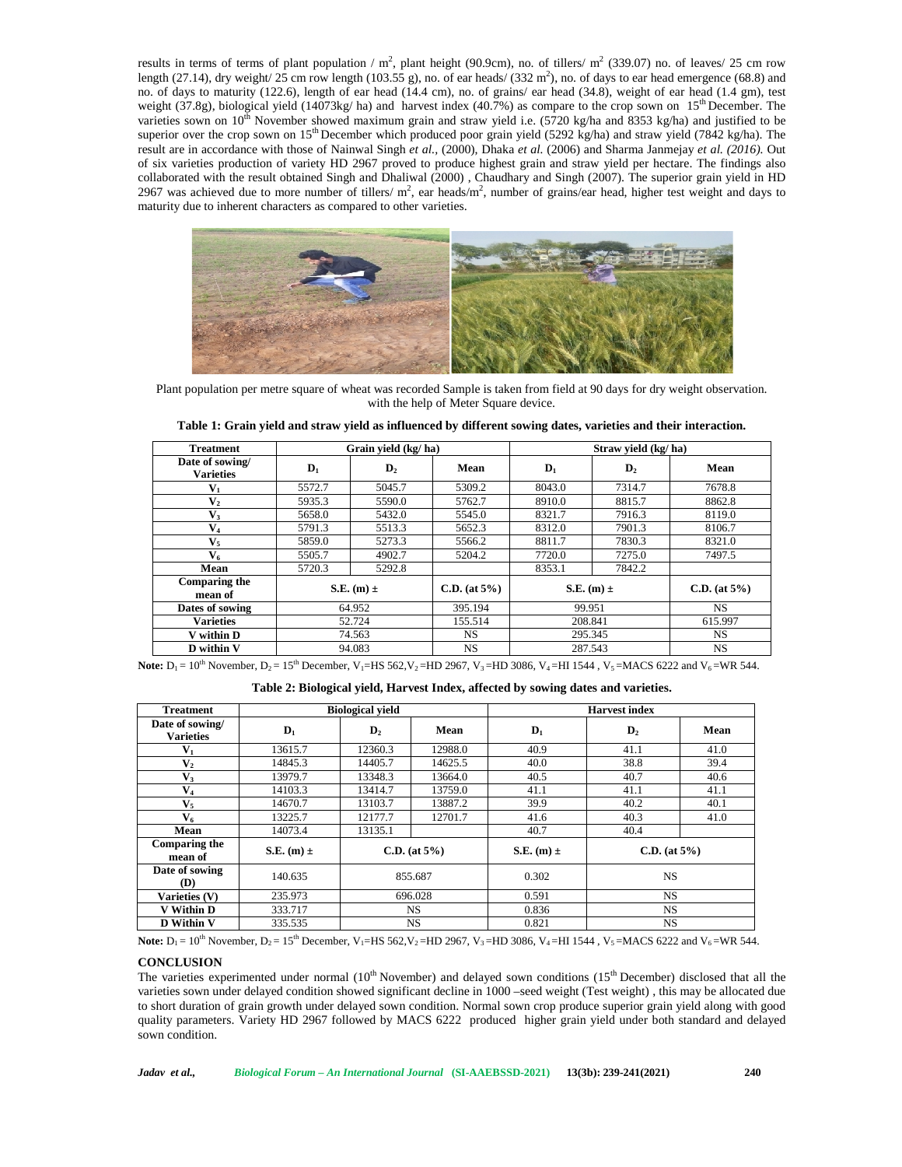results in terms of terms of plant population /  $m^2$ , plant height (90.9cm), no. of tillers/  $m^2$  (339.07) no. of leaves/ 25 cm row length (27.14), dry weight/ 25 cm row length (103.55 g), no. of ear heads/ (332 m<sup>2</sup>), no. of days to ear head emergence (68.8) and no. of days to maturity (122.6), length of ear head (14.4 cm), no. of grains/ ear head (34.8), weight of ear head (1.4 gm), test weight (37.8g), biological yield (14073kg/ ha) and harvest index (40.7%) as compare to the crop sown on 15<sup>th</sup> December. The varieties sown on  $10^{th}$  November showed maximum grain and straw yield i.e. (5720 kg/ha and 8353 kg/ha) and justified to be superior over the crop sown on 15<sup>th</sup> December which produced poor grain yield (5292 kg/ha) and straw yield (7842 kg/ha). The result are in accordance with those of Nainwal Singh *et al.,* (2000), Dhaka *et al.* (2006) and Sharma Janmejay *et al. (2016).* Out of six varieties production of variety HD 2967 proved to produce highest grain and straw yield per hectare. The findings also collaborated with the result obtained Singh and Dhaliwal (2000), Chaudhary and Singh (2007). The superior grain yield in HD 2967 was achieved due to more number of tillers/ $m^2$ , ear heads/ $m^2$ , number of grains/ear head, higher test weight and days to maturity due to inherent characters as compared to other varieties.



Plant population per metre square of wheat was recorded Sample is taken from field at 90 days for dry weight observation. with the help of Meter Square device.

| <b>Treatment</b>                    |                | Grain vield (kg/ha) |                    |                | Straw vield (kg/ha) |              |  |  |
|-------------------------------------|----------------|---------------------|--------------------|----------------|---------------------|--------------|--|--|
| Date of sowing/<br><b>Varieties</b> | $\mathbf{D}_1$ | $\mathbf{D}_2$      | Mean               | $\mathbf{D}_1$ | $\mathbf{D}_2$      | Mean         |  |  |
| $V_1$                               | 5572.7         | 5045.7              | 5309.2             | 8043.0         | 7314.7              | 7678.8       |  |  |
| $V_2$                               | 5935.3         | 5590.0              | 5762.7             | 8910.0         | 8815.7              | 8862.8       |  |  |
| V3                                  | 5658.0         | 5432.0              | 5545.0             | 8321.7         | 7916.3              | 8119.0       |  |  |
| $V_4$                               | 5791.3         | 5513.3              | 5652.3             | 8312.0         | 7901.3              | 8106.7       |  |  |
| $V_5$                               | 5859.0         | 5273.3              | 5566.2             | 8811.7         | 7830.3              | 8321.0       |  |  |
| $V_{6}$                             | 5505.7         | 4902.7              | 5204.2             | 7720.0         | 7275.0              | 7497.5       |  |  |
| Mean                                | 5720.3         | 5292.8              |                    | 8353.1         | 7842.2              |              |  |  |
| Comparing the<br>mean of            | S.E. $(m) \pm$ |                     | $C.D.$ (at $5\%$ ) | S.E. $(m) \pm$ |                     | C.D. (at 5%) |  |  |
| Dates of sowing                     | 64.952         |                     | 395.194            | 99.951         |                     | <b>NS</b>    |  |  |
| Varieties                           | 52.724         |                     | 155.514            | 208.841        |                     | 615.997      |  |  |
| V within D                          | 74.563         |                     | NS.                | 295.345        |                     | NS.          |  |  |
| D within V                          | 94.083         |                     | NS.                | 287.543        |                     | NS.          |  |  |

**Note:**  $D_1 = 10^{th}$  November,  $D_2 = 15^{th}$  December,  $V_1 = HS$  562,  $V_2 = HD$  2967,  $V_3 = HD$  3086,  $V_4 = HI$  1544,  $V_5 = MACS$  6222 and  $V_6 = WR$  544.

**Table 2: Biological yield, Harvest Index, affected by sowing dates and varieties.**

| <b>Treatment</b>                    | <b>Biological vield</b> |                    |         | <b>Harvest</b> index |                    |      |  |
|-------------------------------------|-------------------------|--------------------|---------|----------------------|--------------------|------|--|
| Date of sowing/<br><b>Varieties</b> | $\mathbf{D}_1$          | $\mathbf{D}_2$     | Mean    | $\mathbf{D}_1$       | $\mathbf{D}_2$     | Mean |  |
| ${\bf V}_1$                         | 13615.7                 | 12360.3            | 12988.0 | 40.9                 | 41.1               | 41.0 |  |
| $\mathbf{V}_2$                      | 14845.3                 | 14405.7            | 14625.5 | 40.0                 | 38.8               | 39.4 |  |
| $V_3$                               | 13979.7                 | 13348.3            | 13664.0 | 40.5                 | 40.7               | 40.6 |  |
| $V_4$                               | 14103.3                 | 13414.7            | 13759.0 | 41.1                 | 41.1               | 41.1 |  |
| $\mathbf{V}_5$                      | 14670.7                 | 13103.7            | 13887.2 | 39.9                 | 40.2               | 40.1 |  |
| $V_6$                               | 13225.7                 | 12177.7            | 12701.7 | 41.6                 | 40.3               | 41.0 |  |
| Mean                                | 14073.4                 | 13135.1            |         | 40.7                 | 40.4               |      |  |
| Comparing the<br>mean of            | S.E. $(m) \pm$          | $C.D.$ (at $5\%$ ) |         | S.E. $(m) \pm$       | $C.D.$ (at $5\%$ ) |      |  |
| Date of sowing<br>(D)               | 140.635                 | 855.687            |         | 0.302                | <b>NS</b>          |      |  |
| Varieties (V)                       | 235.973                 | 696.028            |         | 0.591                | <b>NS</b>          |      |  |
| V Within D                          | 333.717                 | <b>NS</b>          |         | 0.836                | <b>NS</b>          |      |  |
| <b>D</b> Within V                   | 335.535                 | <b>NS</b>          |         | 0.821                | <b>NS</b>          |      |  |

**Note:**  $D_1 = 10^{th}$  November,  $D_2 = 15^{th}$  December,  $V_1 = HS$  562,  $V_2 = HD$  2967,  $V_3 = HD$  3086,  $V_4 = HI$  1544,  $V_5 = MACS$  6222 and  $V_6 = WR$  544.

#### **CONCLUSION**

The varieties experimented under normal  $(10<sup>th</sup>$  November) and delayed sown conditions  $(15<sup>th</sup>$  December) disclosed that all the varieties sown under delayed condition showed significant decline in 1000 –seed weight (Test weight) , this may be allocated due to short duration of grain growth under delayed sown condition. Normal sown crop produce superior grain yield along with good quality parameters. Variety HD 2967 followed by MACS 6222 produced higher grain yield under both standard and delayed sown condition.